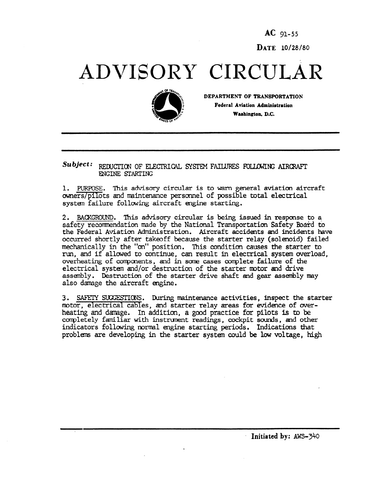AC 91-55 DATE 10/28/80

## ADVISORY CIRCULAR



DEPARTMENT OF TRANSPORTATION Federal Aviation Administration Washington, D.C.

Subject: REDUCTION OF ELECTRICAL SYSTEM FAILURES FOLLOWING AIRCRAFT ENGINE STARTING

1. PURPOSE. This advisory circular is to warn general aviation aircraft owners/pilots and maintenance personnel of possible total electrical system failure following aircraft engine starting.

2. BACKGROUND. This advisory circular is being issued in response to a safety recommendation made by the National Transportation Safety Board to the Federal Aviation Administration. Aircraft accidents and incidents have occurred shortly after takeoff because the starter relay (solenoid) failed mechanically in the "on" position. This condition auses the starter to run, and if allowed to continue, can result in electrical system overload, overheating of components, and in some cases complete failure of the electrical system and/or destruction of the starter motor and drive assembly. Destruction of the starter drive shaft and gear assembly may also damage the aircraft engine.

3. SAFETY SUGGESTIONS. During maintenance activities, inspect the starter motor, electrical cables, and starter relay areas for evidence of over heating and damage. In addition, a good practice for pilots is to be completely familiar with instrument readings, cockpit sounds, and other indicators following normal engine starting periods. Indications that problems are developing in the starter system could be low voltage, high